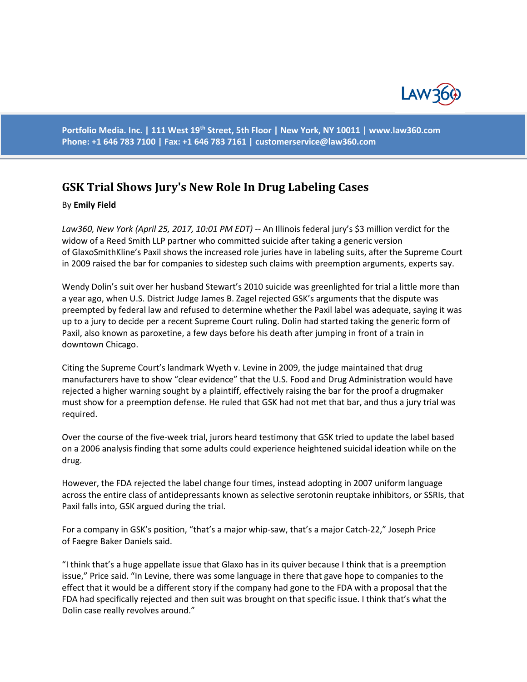

Portfolio Media. Inc. | 111 West 19<sup>th</sup> Street, 5th Floor | New York, NY 10011 | www.law360.com **Phone: +1 646 783 7100 | Fax: +1 646 783 7161 [| customerservice@law360.com](mailto:customerservice@law360.com)**

## **GSK Trial Shows Jury's New Role In Drug Labeling Cases**

## By **Emily Field**

*Law360, New York (April 25, 2017, 10:01 PM EDT)* -- An Illinois federal jury's \$3 million verdict for the widow of a Reed Smith LLP partner who committed suicide after taking a generic version of GlaxoSmithKline's Paxil shows the increased role juries have in labeling suits, after the Supreme Court in 2009 raised the bar for companies to sidestep such claims with preemption arguments, experts say.

Wendy Dolin's suit over her husband Stewart's 2010 suicide was greenlighted for trial a little more than a year ago, when U.S. District Judge James B. Zagel rejected GSK's arguments that the dispute was preempted by federal law and refused to determine whether the Paxil label was adequate, saying it was up to a jury to decide per a recent Supreme Court ruling. Dolin had started taking the generic form of Paxil, also known as paroxetine, a few days before his death after jumping in front of a train in downtown Chicago.

Citing the Supreme Court's landmark Wyeth v. Levine in 2009, the judge maintained that drug manufacturers have to show "clear evidence" that the U.S. Food and Drug Administration would have rejected a higher warning sought by a plaintiff, effectively raising the bar for the proof a drugmaker must show for a preemption defense. He ruled that GSK had not met that bar, and thus a jury trial was required.

Over the course of the five-week trial, jurors heard testimony that GSK tried to update the label based on a 2006 analysis finding that some adults could experience heightened suicidal ideation while on the drug.

However, the FDA rejected the label change four times, instead adopting in 2007 uniform language across the entire class of antidepressants known as selective serotonin reuptake inhibitors, or SSRIs, that Paxil falls into, GSK argued during the trial.

For a company in GSK's position, "that's a major whip-saw, that's a major Catch-22," Joseph Price of Faegre Baker Daniels said.

"I think that's a huge appellate issue that Glaxo has in its quiver because I think that is a preemption issue," Price said. "In Levine, there was some language in there that gave hope to companies to the effect that it would be a different story if the company had gone to the FDA with a proposal that the FDA had specifically rejected and then suit was brought on that specific issue. I think that's what the Dolin case really revolves around."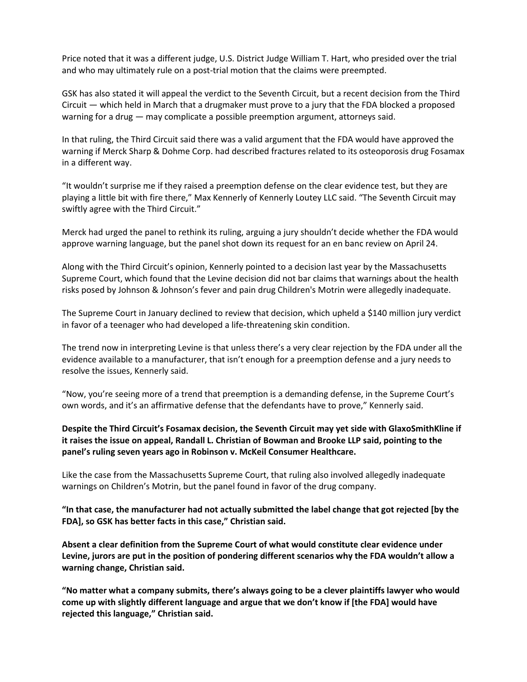Price noted that it was a different judge, U.S. District Judge William T. Hart, who presided over the trial and who may ultimately rule on a post-trial motion that the claims were preempted.

GSK has also stated it will appeal the verdict to the Seventh Circuit, but a recent decision from the Third Circuit — which held in March that a drugmaker must prove to a jury that the FDA blocked a proposed warning for a drug — may complicate a possible preemption argument, attorneys said.

In that ruling, the Third Circuit said there was a valid argument that the FDA would have approved the warning if Merck Sharp & Dohme Corp. had described fractures related to its osteoporosis drug Fosamax in a different way.

"It wouldn't surprise me if they raised a preemption defense on the clear evidence test, but they are playing a little bit with fire there," Max Kennerly of Kennerly Loutey LLC said. "The Seventh Circuit may swiftly agree with the Third Circuit."

Merck had urged the panel to rethink its ruling, arguing a jury shouldn't decide whether the FDA would approve warning language, but the panel shot down its request for an en banc review on April 24.

Along with the Third Circuit's opinion, Kennerly pointed to a decision last year by the Massachusetts Supreme Court, which found that the Levine decision did not bar claims that warnings about the health risks posed by Johnson & Johnson's fever and pain drug Children's Motrin were allegedly inadequate.

The Supreme Court in January declined to review that decision, which upheld a \$140 million jury verdict in favor of a teenager who had developed a life-threatening skin condition.

The trend now in interpreting Levine is that unless there's a very clear rejection by the FDA under all the evidence available to a manufacturer, that isn't enough for a preemption defense and a jury needs to resolve the issues, Kennerly said.

"Now, you're seeing more of a trend that preemption is a demanding defense, in the Supreme Court's own words, and it's an affirmative defense that the defendants have to prove," Kennerly said.

## **Despite the Third Circuit's Fosamax decision, the Seventh Circuit may yet side with GlaxoSmithKline if it raises the issue on appeal, Randall L. Christian of Bowman and Brooke LLP said, pointing to the panel's ruling seven years ago in Robinson v. McKeil Consumer Healthcare.**

Like the case from the Massachusetts Supreme Court, that ruling also involved allegedly inadequate warnings on Children's Motrin, but the panel found in favor of the drug company.

**"In that case, the manufacturer had not actually submitted the label change that got rejected [by the FDA], so GSK has better facts in this case," Christian said.** 

**Absent a clear definition from the Supreme Court of what would constitute clear evidence under Levine, jurors are put in the position of pondering different scenarios why the FDA wouldn't allow a warning change, Christian said.** 

**"No matter what a company submits, there's always going to be a clever plaintiffs lawyer who would come up with slightly different language and argue that we don't know if [the FDA] would have rejected this language," Christian said.**